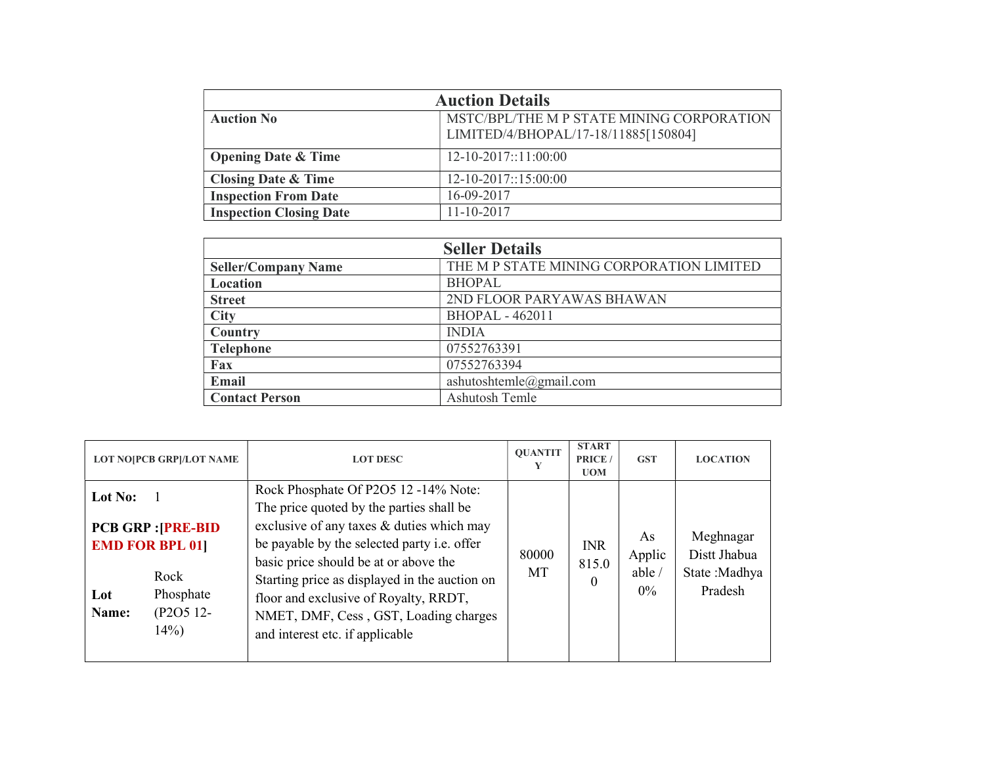| <b>Auction Details</b>         |                                                                                   |  |  |  |
|--------------------------------|-----------------------------------------------------------------------------------|--|--|--|
| <b>Auction No</b>              | MSTC/BPL/THE M P STATE MINING CORPORATION<br>LIMITED/4/BHOPAL/17-18/11885[150804] |  |  |  |
| <b>Opening Date &amp; Time</b> | $12 - 10 - 2017$ ::11:00:00                                                       |  |  |  |
| <b>Closing Date &amp; Time</b> | $12 - 10 - 2017$ ::15:00:00                                                       |  |  |  |
| <b>Inspection From Date</b>    | 16-09-2017                                                                        |  |  |  |
| <b>Inspection Closing Date</b> | 11-10-2017                                                                        |  |  |  |

| <b>Seller Details</b>      |                                          |  |  |  |
|----------------------------|------------------------------------------|--|--|--|
| <b>Seller/Company Name</b> | THE M P STATE MINING CORPORATION LIMITED |  |  |  |
| Location                   | <b>BHOPAL</b>                            |  |  |  |
| <b>Street</b>              | 2ND FLOOR PARYAWAS BHAWAN                |  |  |  |
| <b>City</b>                | <b>BHOPAL - 462011</b>                   |  |  |  |
| Country                    | <b>INDIA</b>                             |  |  |  |
| <b>Telephone</b>           | 07552763391                              |  |  |  |
| Fax                        | 07552763394                              |  |  |  |
| <b>Email</b>               | ashutoshtemle@gmail.com                  |  |  |  |
| <b>Contact Person</b>      | Ashutosh Temle                           |  |  |  |

| <b>LOT NO[PCB GRP]/LOT NAME</b>                                                                                             | <b>LOT DESC</b>                                                                                                                                                                                                                                                                                                                                                                             |             | <b>START</b><br>PRICE /<br><b>UOM</b> | <b>GST</b>                             | <b>LOCATION</b>                                        |
|-----------------------------------------------------------------------------------------------------------------------------|---------------------------------------------------------------------------------------------------------------------------------------------------------------------------------------------------------------------------------------------------------------------------------------------------------------------------------------------------------------------------------------------|-------------|---------------------------------------|----------------------------------------|--------------------------------------------------------|
| Lot No:<br><b>PCB GRP : [PRE-BID</b><br><b>EMD FOR BPL 01]</b><br>Rock<br>Phosphate<br>Lot<br>(P2O5 12-<br>Name:<br>$14\%)$ | Rock Phosphate Of P2O5 12 -14% Note:<br>The price quoted by the parties shall be<br>exclusive of any taxes & duties which may<br>be payable by the selected party i.e. offer<br>basic price should be at or above the<br>Starting price as displayed in the auction on<br>floor and exclusive of Royalty, RRDT,<br>NMET, DMF, Cess, GST, Loading charges<br>and interest etc. if applicable | 80000<br>MT | <b>INR</b><br>815.0<br>0              | As<br>Applic<br>able $\prime$<br>$0\%$ | Meghnagar<br>Distt Jhabua<br>State : Madhya<br>Pradesh |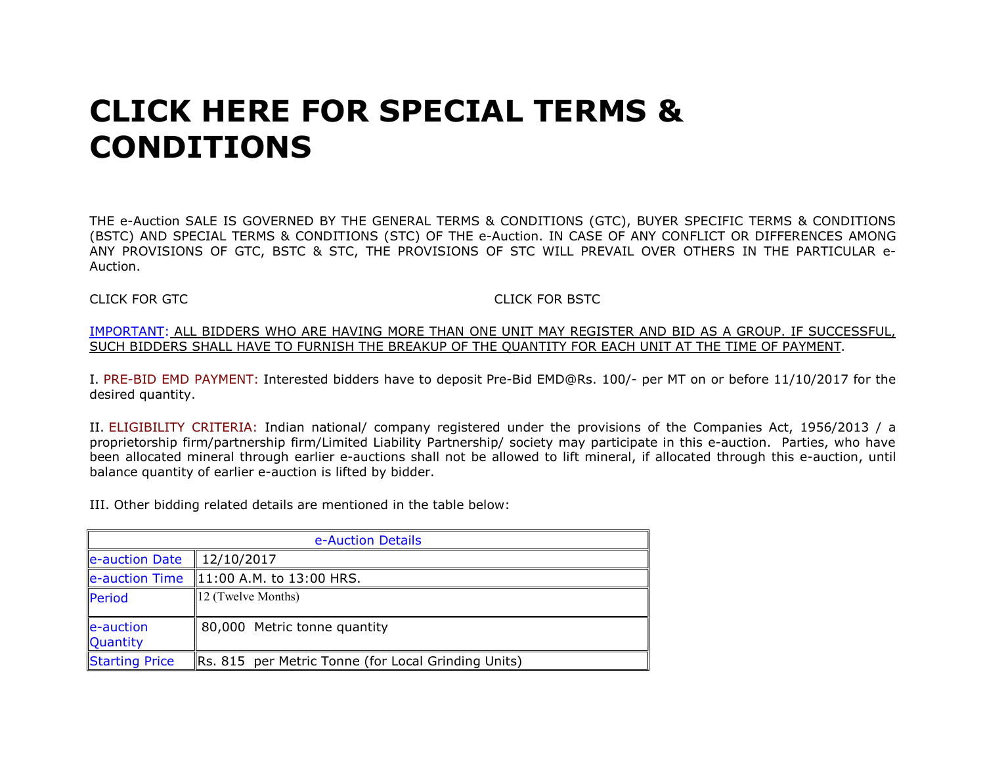# CLICK HERE FOR SPECIAL TERMS & CONDITIONS

THE e-Auction SALE IS GOVERNED BY THE GENERAL TERMS & CONDITIONS (GTC), BUYER SPECIFIC TERMS & CONDITIONS (BSTC) AND SPECIAL TERMS & CONDITIONS (STC) OF THE e-Auction. IN CASE OF ANY CONFLICT OR DIFFERENCES AMONG ANY PROVISIONS OF GTC, BSTC & STC, THE PROVISIONS OF STC WILL PREVAIL OVER OTHERS IN THE PARTICULAR e-Auction.

## CLICK FOR GTC CLICK FOR BSTC

#### IMPORTANT: ALL BIDDERS WHO ARE HAVING MORE THAN ONE UNIT MAY REGISTER AND BID AS A GROUP. IF SUCCESSFUL, SUCH BIDDERS SHALL HAVE TO FURNISH THE BREAKUP OF THE QUANTITY FOR EACH UNIT AT THE TIME OF PAYMENT.

I. PRE-BID EMD PAYMENT: Interested bidders have to deposit Pre-Bid EMD@Rs. 100/- per MT on or before 11/10/2017 for the desired quantity.

II. ELIGIBILITY CRITERIA: Indian national/ company registered under the provisions of the Companies Act, 1956/2013 / a proprietorship firm/partnership firm/Limited Liability Partnership/ society may participate in this e-auction. Parties, who have been allocated mineral through earlier e-auctions shall not be allowed to lift mineral, if allocated through this e-auction, until balance quantity of earlier e-auction is lifted by bidder.

III. Other bidding related details are mentioned in the table below:

| e-Auction Details            |                                                            |  |  |  |
|------------------------------|------------------------------------------------------------|--|--|--|
| e-auction Date               | 12/10/2017                                                 |  |  |  |
|                              | $\left $ e-auction Time $\right $ 11:00 A.M. to 13:00 HRS. |  |  |  |
| Period                       | $\parallel$ 12 (Twelve Months)                             |  |  |  |
| e-auction<br><b>Quantity</b> | 80,000 Metric tonne quantity                               |  |  |  |
| <b>Starting Price</b>        | Rs. 815 per Metric Tonne (for Local Grinding Units)        |  |  |  |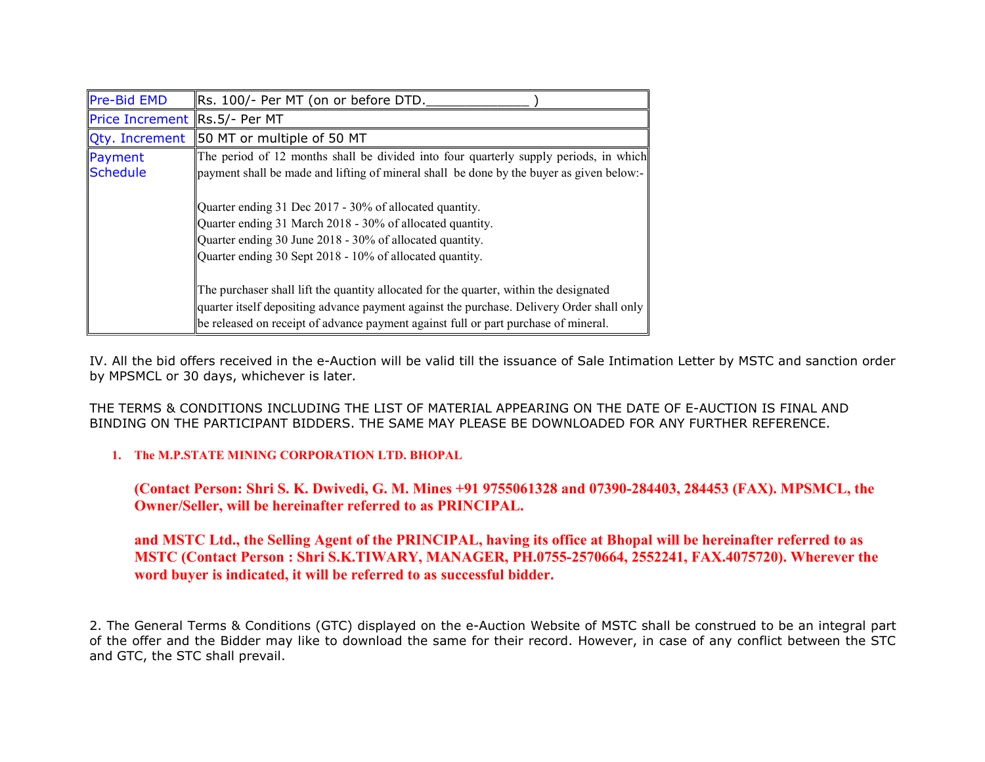| Pre-Bid EMD                   | Rs. 100/- Per MT (on or before DTD.                                                                                                                                                                                                                                        |  |  |  |
|-------------------------------|----------------------------------------------------------------------------------------------------------------------------------------------------------------------------------------------------------------------------------------------------------------------------|--|--|--|
| Price Increment Rs.5/- Per MT |                                                                                                                                                                                                                                                                            |  |  |  |
| Qty. Increment                | 50 MT or multiple of 50 MT                                                                                                                                                                                                                                                 |  |  |  |
| Payment<br>Schedule           | The period of 12 months shall be divided into four quarterly supply periods, in which<br>payment shall be made and lifting of mineral shall be done by the buyer as given below:-                                                                                          |  |  |  |
|                               | Quarter ending 31 Dec 2017 - 30% of allocated quantity.<br>Quarter ending 31 March 2018 - 30% of allocated quantity.<br>Quarter ending 30 June 2018 - 30% of allocated quantity.<br>Quarter ending 30 Sept 2018 - 10% of allocated quantity.                               |  |  |  |
|                               | The purchaser shall lift the quantity allocated for the quarter, within the designated<br>quarter itself depositing advance payment against the purchase. Delivery Order shall only<br>be released on receipt of advance payment against full or part purchase of mineral. |  |  |  |

IV. All the bid offers received in the e-Auction will be valid till the issuance of Sale Intimation Letter by MSTC and sanction order by MPSMCL or 30 days, whichever is later.

THE TERMS & CONDITIONS INCLUDING THE LIST OF MATERIAL APPEARING ON THE DATE OF E-AUCTION IS FINAL AND BINDING ON THE PARTICIPANT BIDDERS. THE SAME MAY PLEASE BE DOWNLOADED FOR ANY FURTHER REFERENCE.

## 1. The M.P.STATE MINING CORPORATION LTD. BHOPAL

(Contact Person: Shri S. K. Dwivedi, G. M. Mines +91 9755061328 and 07390-284403, 284453 (FAX). MPSMCL, the Owner/Seller, will be hereinafter referred to as PRINCIPAL.

# and MSTC Ltd., the Selling Agent of the PRINCIPAL, having its office at Bhopal will be hereinafter referred to as MSTC (Contact Person : Shri S.K.TIWARY, MANAGER, PH.0755-2570664, 2552241, FAX.4075720). Wherever the word buyer is indicated, it will be referred to as successful bidder.

2. The General Terms & Conditions (GTC) displayed on the e-Auction Website of MSTC shall be construed to be an integral part of the offer and the Bidder may like to download the same for their record. However, in case of any conflict between the STC and GTC, the STC shall prevail.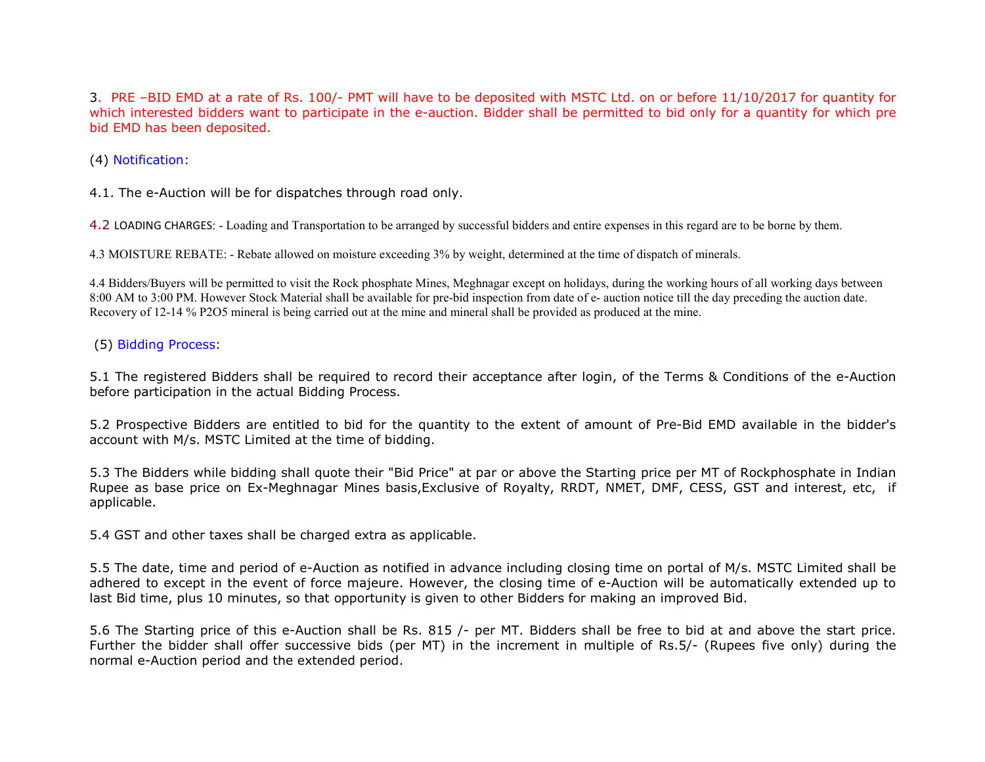3. PRE –BID EMD at a rate of Rs. 100/- PMT will have to be deposited with MSTC Ltd. on or before 11/10/2017 for quantity for which interested bidders want to participate in the e-auction. Bidder shall be permitted to bid only for a quantity for which pre bid EMD has been deposited.

(4) Notification:

4.1. The e-Auction will be for dispatches through road only.

4.2 LOADING CHARGES: - Loading and Transportation to be arranged by successful bidders and entire expenses in this regard are to be borne by them.

4.3 MOISTURE REBATE: - Rebate allowed on moisture exceeding 3% by weight, determined at the time of dispatch of minerals.

4.4 Bidders/Buyers will be permitted to visit the Rock phosphate Mines, Meghnagar except on holidays, during the working hours of all working days between 8:00 AM to 3:00 PM. However Stock Material shall be available for pre-bid inspection from date of e- auction notice till the day preceding the auction date. Recovery of 12-14 % P2O5 mineral is being carried out at the mine and mineral shall be provided as produced at the mine.

(5) Bidding Process:

5.1 The registered Bidders shall be required to record their acceptance after login, of the Terms & Conditions of the e-Auction before participation in the actual Bidding Process.

5.2 Prospective Bidders are entitled to bid for the quantity to the extent of amount of Pre-Bid EMD available in the bidder's account with M/s. MSTC Limited at the time of bidding.

5.3 The Bidders while bidding shall quote their "Bid Price" at par or above the Starting price per MT of Rockphosphate in Indian Rupee as base price on Ex-Meghnagar Mines basis,Exclusive of Royalty, RRDT, NMET, DMF, CESS, GST and interest, etc, if applicable.

5.4 GST and other taxes shall be charged extra as applicable.

5.5 The date, time and period of e-Auction as notified in advance including closing time on portal of M/s. MSTC Limited shall be adhered to except in the event of force majeure. However, the closing time of e-Auction will be automatically extended up to last Bid time, plus 10 minutes, so that opportunity is given to other Bidders for making an improved Bid.

5.6 The Starting price of this e-Auction shall be Rs. 815 /- per MT. Bidders shall be free to bid at and above the start price. Further the bidder shall offer successive bids (per MT) in the increment in multiple of Rs.5/- (Rupees five only) during the normal e-Auction period and the extended period.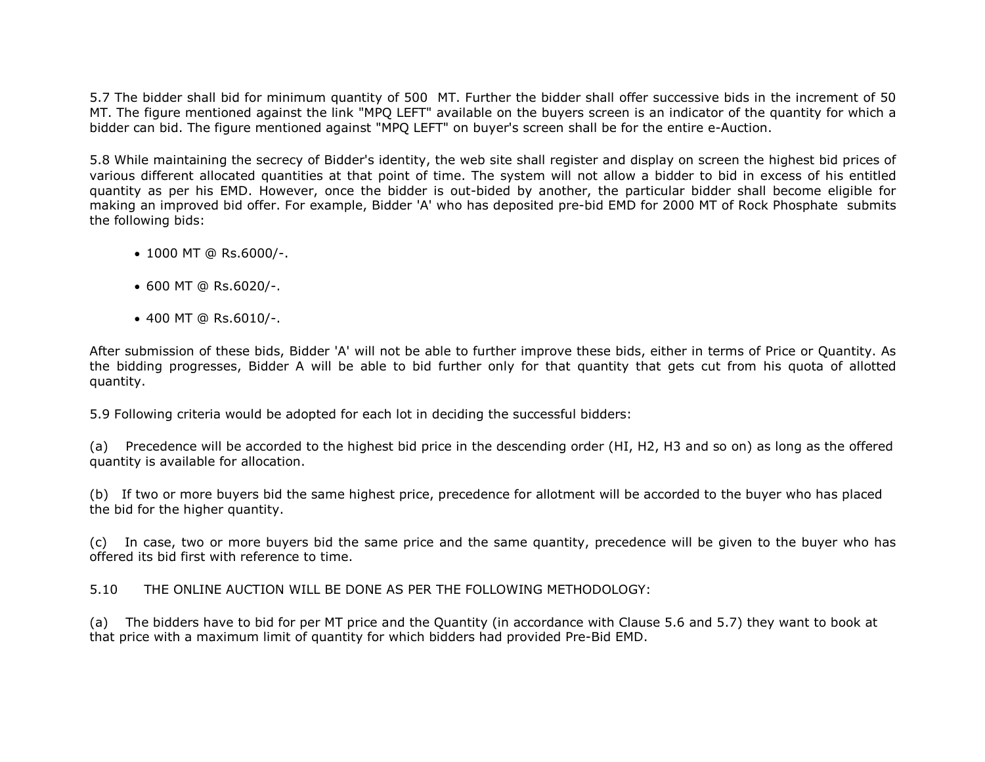5.7 The bidder shall bid for minimum quantity of 500 MT. Further the bidder shall offer successive bids in the increment of 50 MT. The figure mentioned against the link "MPQ LEFT" available on the buyers screen is an indicator of the quantity for which a bidder can bid. The figure mentioned against "MPQ LEFT" on buyer's screen shall be for the entire e-Auction.

5.8 While maintaining the secrecy of Bidder's identity, the web site shall register and display on screen the highest bid prices of various different allocated quantities at that point of time. The system will not allow a bidder to bid in excess of his entitled quantity as per his EMD. However, once the bidder is out-bided by another, the particular bidder shall become eligible for making an improved bid offer. For example, Bidder 'A' who has deposited pre-bid EMD for 2000 MT of Rock Phosphate submits the following bids:

- 1000 MT @ Rs.6000/-.
- 600 MT @ Rs.6020/-.
- 400 MT @ Rs.6010/-.

After submission of these bids, Bidder 'A' will not be able to further improve these bids, either in terms of Price or Quantity. As the bidding progresses, Bidder A will be able to bid further only for that quantity that gets cut from his quota of allotted quantity.

5.9 Following criteria would be adopted for each lot in deciding the successful bidders:

(a) Precedence will be accorded to the highest bid price in the descending order (HI, H2, H3 and so on) as long as the offered quantity is available for allocation.

(b) If two or more buyers bid the same highest price, precedence for allotment will be accorded to the buyer who has placed the bid for the higher quantity.

(c) In case, two or more buyers bid the same price and the same quantity, precedence will be given to the buyer who has offered its bid first with reference to time.

5.10 THE ONLINE AUCTION WILL BE DONE AS PER THE FOLLOWING METHODOLOGY:

(a) The bidders have to bid for per MT price and the Quantity (in accordance with Clause 5.6 and 5.7) they want to book at that price with a maximum limit of quantity for which bidders had provided Pre-Bid EMD.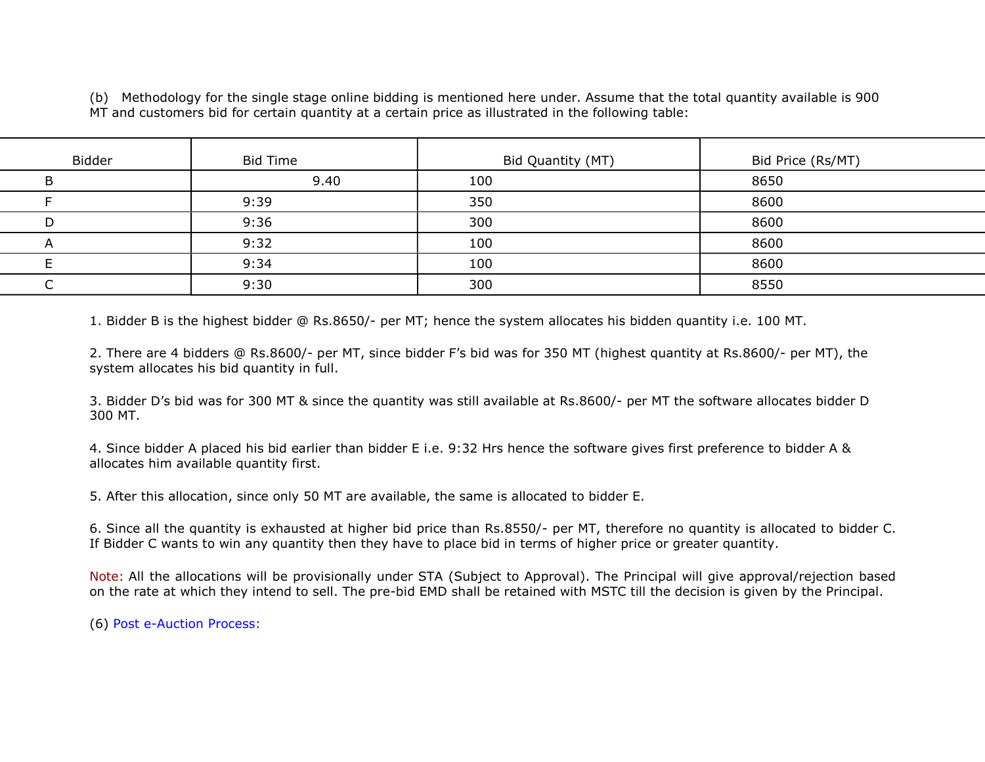(b) Methodology for the single stage online bidding is mentioned here under. Assume that the total quantity available is 900 MT and customers bid for certain quantity at a certain price as illustrated in the following table:

| Bidder | <b>Bid Time</b> | Bid Quantity (MT) | Bid Price (Rs/MT) |
|--------|-----------------|-------------------|-------------------|
|        | 9.40            | 100               | 8650              |
|        | 9:39            | 350               | 8600              |
|        | 9:36            | 300               | 8600              |
|        | 9:32            | 100               | 8600              |
|        | 9:34            | 100               | 8600              |
|        | 9:30            | 300               | 8550              |
|        |                 |                   |                   |

1. Bidder B is the highest bidder @ Rs.8650/- per MT; hence the system allocates his bidden quantity i.e. 100 MT.

2. There are 4 bidders @ Rs.8600/- per MT, since bidder F's bid was for 350 MT (highest quantity at Rs.8600/- per MT), the system allocates his bid quantity in full.

3. Bidder D's bid was for 300 MT & since the quantity was still available at Rs.8600/- per MT the software allocates bidder D 300 MT.

4. Since bidder A placed his bid earlier than bidder E i.e. 9:32 Hrs hence the software gives first preference to bidder A & allocates him available quantity first.

5. After this allocation, since only 50 MT are available, the same is allocated to bidder E.

6. Since all the quantity is exhausted at higher bid price than Rs.8550/- per MT, therefore no quantity is allocated to bidder C. If Bidder C wants to win any quantity then they have to place bid in terms of higher price or greater quantity.

Note: All the allocations will be provisionally under STA (Subject to Approval). The Principal will give approval/rejection based on the rate at which they intend to sell. The pre-bid EMD shall be retained with MSTC till the decision is given by the Principal.

(6) Post e-Auction Process: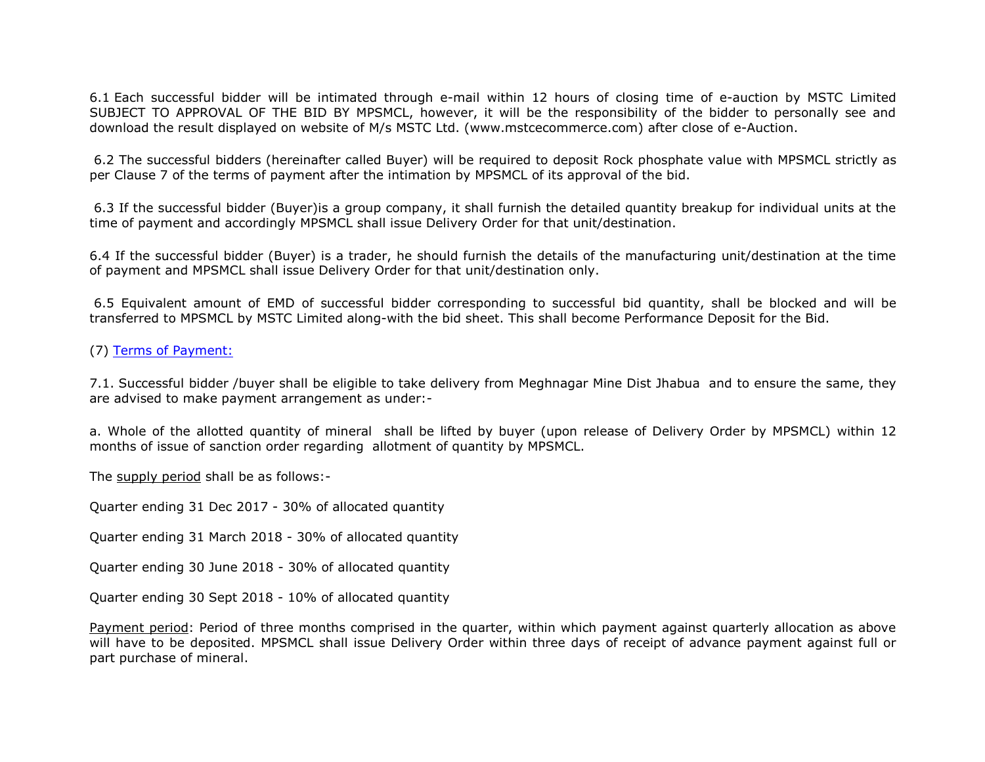6.1 Each successful bidder will be intimated through e-mail within 12 hours of closing time of e-auction by MSTC Limited SUBJECT TO APPROVAL OF THE BID BY MPSMCL, however, it will be the responsibility of the bidder to personally see and download the result displayed on website of M/s MSTC Ltd. (www.mstcecommerce.com) after close of e-Auction.

 6.2 The successful bidders (hereinafter called Buyer) will be required to deposit Rock phosphate value with MPSMCL strictly as per Clause 7 of the terms of payment after the intimation by MPSMCL of its approval of the bid.

 6.3 If the successful bidder (Buyer)is a group company, it shall furnish the detailed quantity breakup for individual units at the time of payment and accordingly MPSMCL shall issue Delivery Order for that unit/destination.

6.4 If the successful bidder (Buyer) is a trader, he should furnish the details of the manufacturing unit/destination at the time of payment and MPSMCL shall issue Delivery Order for that unit/destination only.

 6.5 Equivalent amount of EMD of successful bidder corresponding to successful bid quantity, shall be blocked and will be transferred to MPSMCL by MSTC Limited along-with the bid sheet. This shall become Performance Deposit for the Bid.

(7) Terms of Payment:

7.1. Successful bidder /buyer shall be eligible to take delivery from Meghnagar Mine Dist Jhabua and to ensure the same, they are advised to make payment arrangement as under:-

a. Whole of the allotted quantity of mineral shall be lifted by buyer (upon release of Delivery Order by MPSMCL) within 12 months of issue of sanction order regarding allotment of quantity by MPSMCL.

The supply period shall be as follows:-

Quarter ending 31 Dec 2017 - 30% of allocated quantity

Quarter ending 31 March 2018 - 30% of allocated quantity

Quarter ending 30 June 2018 - 30% of allocated quantity

Quarter ending 30 Sept 2018 - 10% of allocated quantity

Payment period: Period of three months comprised in the quarter, within which payment against quarterly allocation as above will have to be deposited. MPSMCL shall issue Delivery Order within three days of receipt of advance payment against full or part purchase of mineral.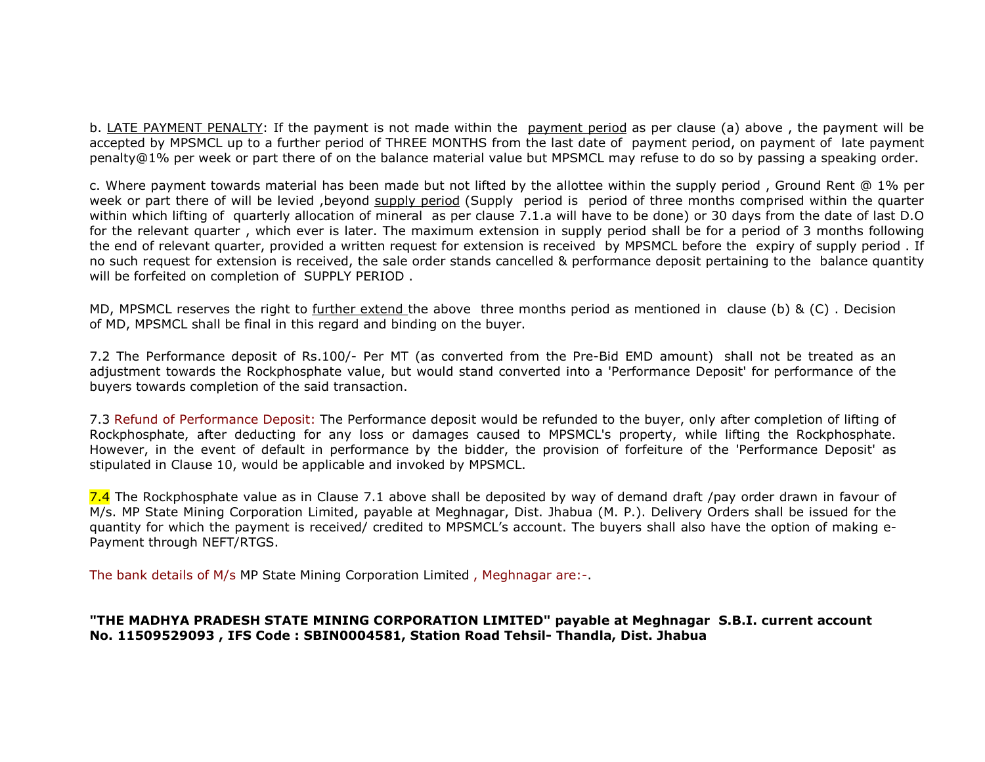b. LATE PAYMENT PENALTY: If the payment is not made within the payment period as per clause (a) above , the payment will be accepted by MPSMCL up to a further period of THREE MONTHS from the last date of payment period, on payment of late payment penalty@1% per week or part there of on the balance material value but MPSMCL may refuse to do so by passing a speaking order.

c. Where payment towards material has been made but not lifted by the allottee within the supply period , Ground Rent @ 1% per week or part there of will be levied ,beyond supply period (Supply period is period of three months comprised within the quarter within which lifting of quarterly allocation of mineral as per clause 7.1.a will have to be done) or 30 days from the date of last D.O for the relevant quarter , which ever is later. The maximum extension in supply period shall be for a period of 3 months following the end of relevant quarter, provided a written request for extension is received by MPSMCL before the expiry of supply period . If no such request for extension is received, the sale order stands cancelled & performance deposit pertaining to the balance quantity will be forfeited on completion of SUPPLY PERIOD .

MD, MPSMCL reserves the right to further extend the above three months period as mentioned in clause (b) & (C) . Decision of MD, MPSMCL shall be final in this regard and binding on the buyer.

7.2 The Performance deposit of Rs.100/- Per MT (as converted from the Pre-Bid EMD amount) shall not be treated as an adjustment towards the Rockphosphate value, but would stand converted into a 'Performance Deposit' for performance of the buyers towards completion of the said transaction.

7.3 Refund of Performance Deposit: The Performance deposit would be refunded to the buyer, only after completion of lifting of Rockphosphate, after deducting for any loss or damages caused to MPSMCL's property, while lifting the Rockphosphate. However, in the event of default in performance by the bidder, the provision of forfeiture of the 'Performance Deposit' as stipulated in Clause 10, would be applicable and invoked by MPSMCL.

7.4 The Rockphosphate value as in Clause 7.1 above shall be deposited by way of demand draft /pay order drawn in favour of M/s. MP State Mining Corporation Limited, payable at Meghnagar, Dist. Jhabua (M. P.). Delivery Orders shall be issued for the quantity for which the payment is received/ credited to MPSMCL's account. The buyers shall also have the option of making e-Payment through NEFT/RTGS.

The bank details of M/s MP State Mining Corporation Limited , Meghnagar are:-.

#### "THE MADHYA PRADESH STATE MINING CORPORATION LIMITED" payable at Meghnagar S.B.I. current account No. 11509529093 , IFS Code : SBIN0004581, Station Road Tehsil- Thandla, Dist. Jhabua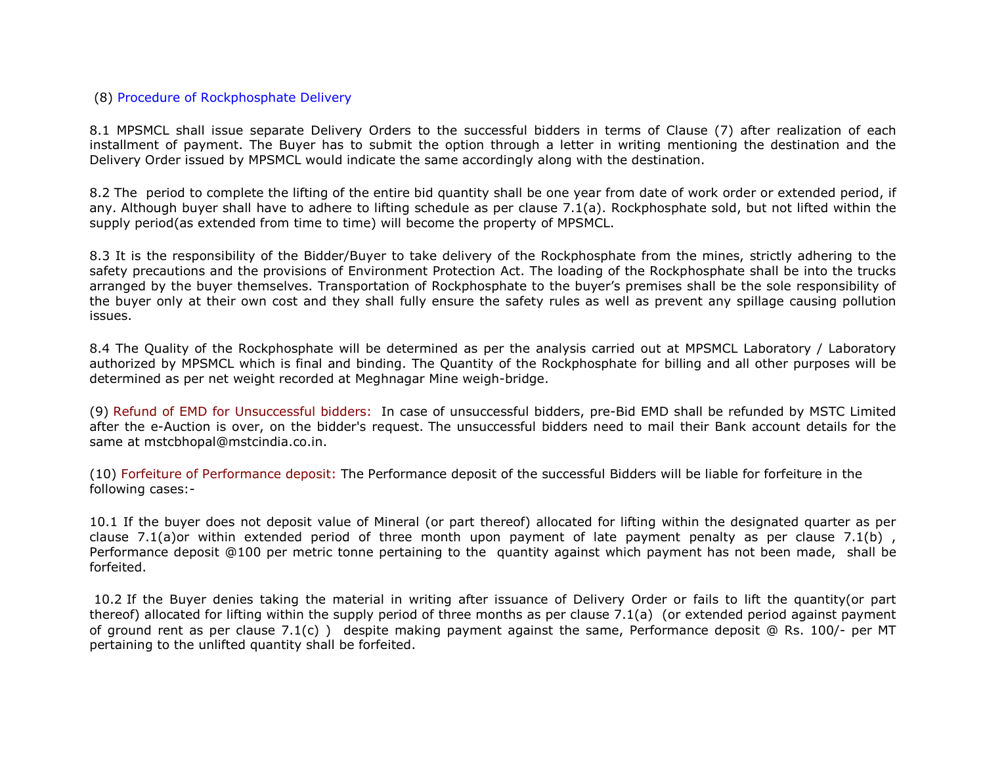#### (8) Procedure of Rockphosphate Delivery

8.1 MPSMCL shall issue separate Delivery Orders to the successful bidders in terms of Clause (7) after realization of each installment of payment. The Buyer has to submit the option through a letter in writing mentioning the destination and the Delivery Order issued by MPSMCL would indicate the same accordingly along with the destination.

8.2 The period to complete the lifting of the entire bid quantity shall be one year from date of work order or extended period, if any. Although buyer shall have to adhere to lifting schedule as per clause 7.1(a). Rockphosphate sold, but not lifted within the supply period(as extended from time to time) will become the property of MPSMCL.

8.3 It is the responsibility of the Bidder/Buyer to take delivery of the Rockphosphate from the mines, strictly adhering to the safety precautions and the provisions of Environment Protection Act. The loading of the Rockphosphate shall be into the trucks arranged by the buyer themselves. Transportation of Rockphosphate to the buyer's premises shall be the sole responsibility of the buyer only at their own cost and they shall fully ensure the safety rules as well as prevent any spillage causing pollution issues.

8.4 The Quality of the Rockphosphate will be determined as per the analysis carried out at MPSMCL Laboratory / Laboratory authorized by MPSMCL which is final and binding. The Quantity of the Rockphosphate for billing and all other purposes will be determined as per net weight recorded at Meghnagar Mine weigh-bridge.

(9) Refund of EMD for Unsuccessful bidders: In case of unsuccessful bidders, pre-Bid EMD shall be refunded by MSTC Limited after the e-Auction is over, on the bidder's request. The unsuccessful bidders need to mail their Bank account details for the same at mstcbhopal@mstcindia.co.in.

(10) Forfeiture of Performance deposit: The Performance deposit of the successful Bidders will be liable for forfeiture in the following cases:-

10.1 If the buyer does not deposit value of Mineral (or part thereof) allocated for lifting within the designated quarter as per clause 7.1(a)or within extended period of three month upon payment of late payment penalty as per clause 7.1(b), Performance deposit @100 per metric tonne pertaining to the quantity against which payment has not been made, shall be forfeited.

 10.2 If the Buyer denies taking the material in writing after issuance of Delivery Order or fails to lift the quantity(or part thereof) allocated for lifting within the supply period of three months as per clause 7.1(a) (or extended period against payment of ground rent as per clause 7.1(c) ) despite making payment against the same, Performance deposit @ Rs. 100/- per MT pertaining to the unlifted quantity shall be forfeited.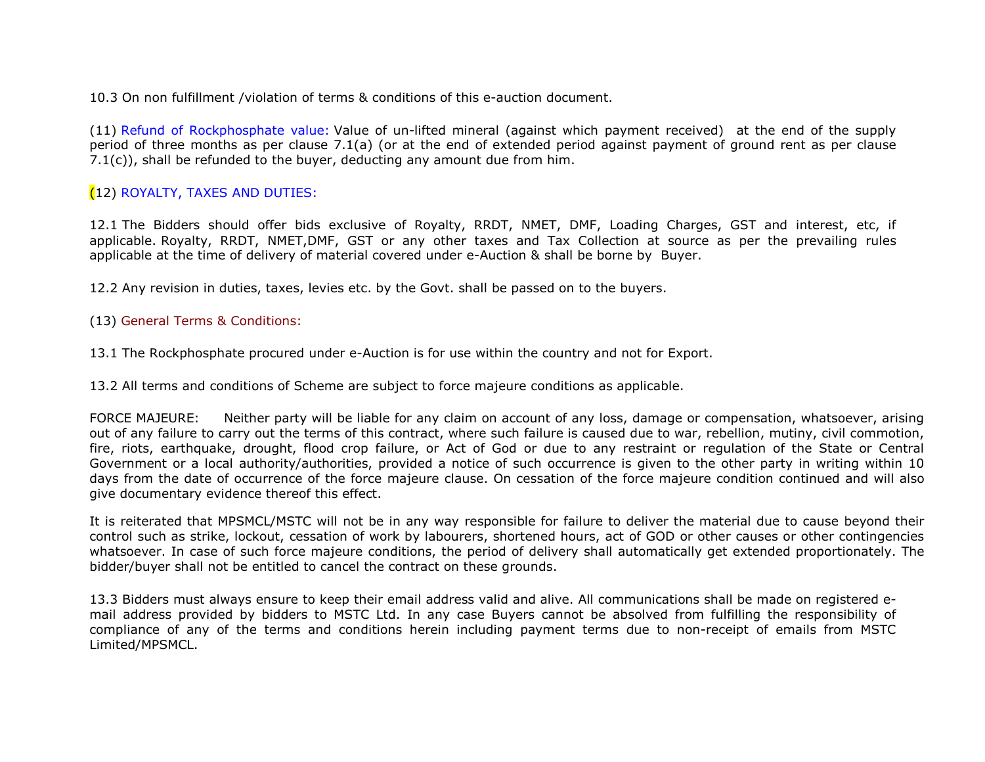10.3 On non fulfillment /violation of terms & conditions of this e-auction document.

(11) Refund of Rockphosphate value: Value of un-lifted mineral (against which payment received) at the end of the supply period of three months as per clause 7.1(a) (or at the end of extended period against payment of ground rent as per clause 7.1(c)), shall be refunded to the buyer, deducting any amount due from him.

# (12) ROYALTY, TAXES AND DUTIES:

12.1 The Bidders should offer bids exclusive of Royalty, RRDT, NMET, DMF, Loading Charges, GST and interest, etc, if applicable. Royalty, RRDT, NMET,DMF, GST or any other taxes and Tax Collection at source as per the prevailing rules applicable at the time of delivery of material covered under e-Auction & shall be borne by Buyer.

12.2 Any revision in duties, taxes, levies etc. by the Govt. shall be passed on to the buyers.

## (13) General Terms & Conditions:

13.1 The Rockphosphate procured under e-Auction is for use within the country and not for Export.

13.2 All terms and conditions of Scheme are subject to force majeure conditions as applicable.

FORCE MAJEURE: Neither party will be liable for any claim on account of any loss, damage or compensation, whatsoever, arising out of any failure to carry out the terms of this contract, where such failure is caused due to war, rebellion, mutiny, civil commotion, fire, riots, earthquake, drought, flood crop failure, or Act of God or due to any restraint or regulation of the State or Central Government or a local authority/authorities, provided a notice of such occurrence is given to the other party in writing within 10 days from the date of occurrence of the force majeure clause. On cessation of the force majeure condition continued and will also give documentary evidence thereof this effect.

It is reiterated that MPSMCL/MSTC will not be in any way responsible for failure to deliver the material due to cause beyond their control such as strike, lockout, cessation of work by labourers, shortened hours, act of GOD or other causes or other contingencies whatsoever. In case of such force majeure conditions, the period of delivery shall automatically get extended proportionately. The bidder/buyer shall not be entitled to cancel the contract on these grounds.

13.3 Bidders must always ensure to keep their email address valid and alive. All communications shall be made on registered email address provided by bidders to MSTC Ltd. In any case Buyers cannot be absolved from fulfilling the responsibility of compliance of any of the terms and conditions herein including payment terms due to non-receipt of emails from MSTC Limited/MPSMCL.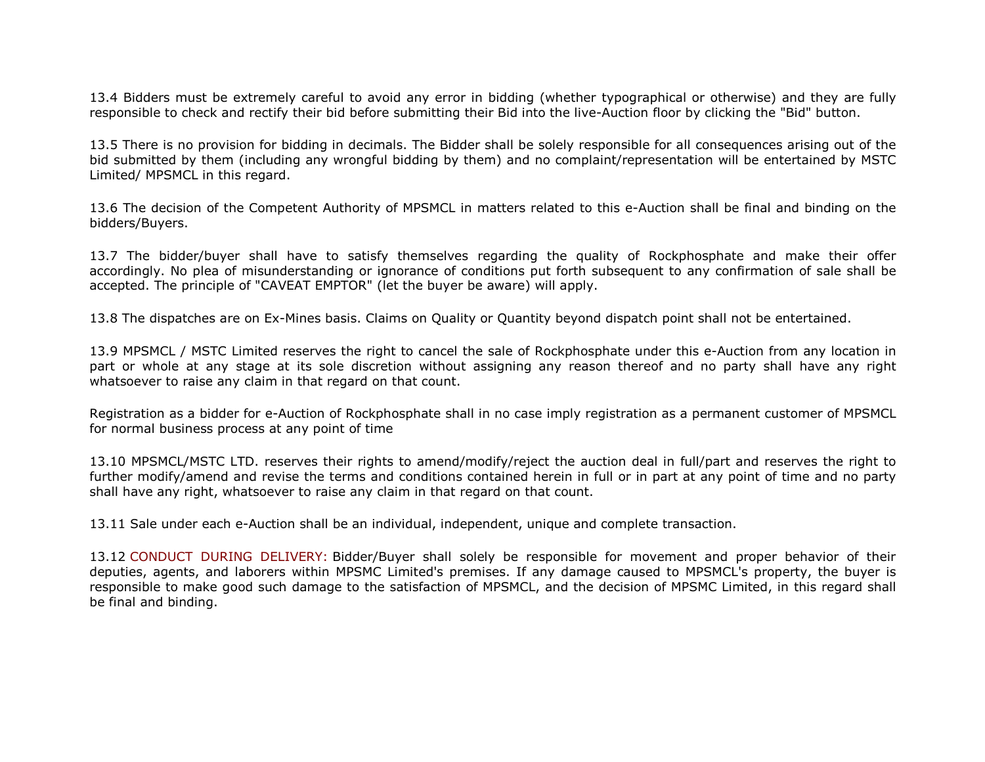13.4 Bidders must be extremely careful to avoid any error in bidding (whether typographical or otherwise) and they are fully responsible to check and rectify their bid before submitting their Bid into the live-Auction floor by clicking the "Bid" button.

13.5 There is no provision for bidding in decimals. The Bidder shall be solely responsible for all consequences arising out of the bid submitted by them (including any wrongful bidding by them) and no complaint/representation will be entertained by MSTC Limited/ MPSMCL in this regard.

13.6 The decision of the Competent Authority of MPSMCL in matters related to this e-Auction shall be final and binding on the bidders/Buyers.

13.7 The bidder/buyer shall have to satisfy themselves regarding the quality of Rockphosphate and make their offer accordingly. No plea of misunderstanding or ignorance of conditions put forth subsequent to any confirmation of sale shall be accepted. The principle of "CAVEAT EMPTOR" (let the buyer be aware) will apply.

13.8 The dispatches are on Ex-Mines basis. Claims on Quality or Quantity beyond dispatch point shall not be entertained.

13.9 MPSMCL / MSTC Limited reserves the right to cancel the sale of Rockphosphate under this e-Auction from any location in part or whole at any stage at its sole discretion without assigning any reason thereof and no party shall have any right whatsoever to raise any claim in that regard on that count.

Registration as a bidder for e-Auction of Rockphosphate shall in no case imply registration as a permanent customer of MPSMCL for normal business process at any point of time

13.10 MPSMCL/MSTC LTD. reserves their rights to amend/modify/reject the auction deal in full/part and reserves the right to further modify/amend and revise the terms and conditions contained herein in full or in part at any point of time and no party shall have any right, whatsoever to raise any claim in that regard on that count.

13.11 Sale under each e-Auction shall be an individual, independent, unique and complete transaction.

13.12 CONDUCT DURING DELIVERY: Bidder/Buyer shall solely be responsible for movement and proper behavior of their deputies, agents, and laborers within MPSMC Limited's premises. If any damage caused to MPSMCL's property, the buyer is responsible to make good such damage to the satisfaction of MPSMCL, and the decision of MPSMC Limited, in this regard shall be final and binding.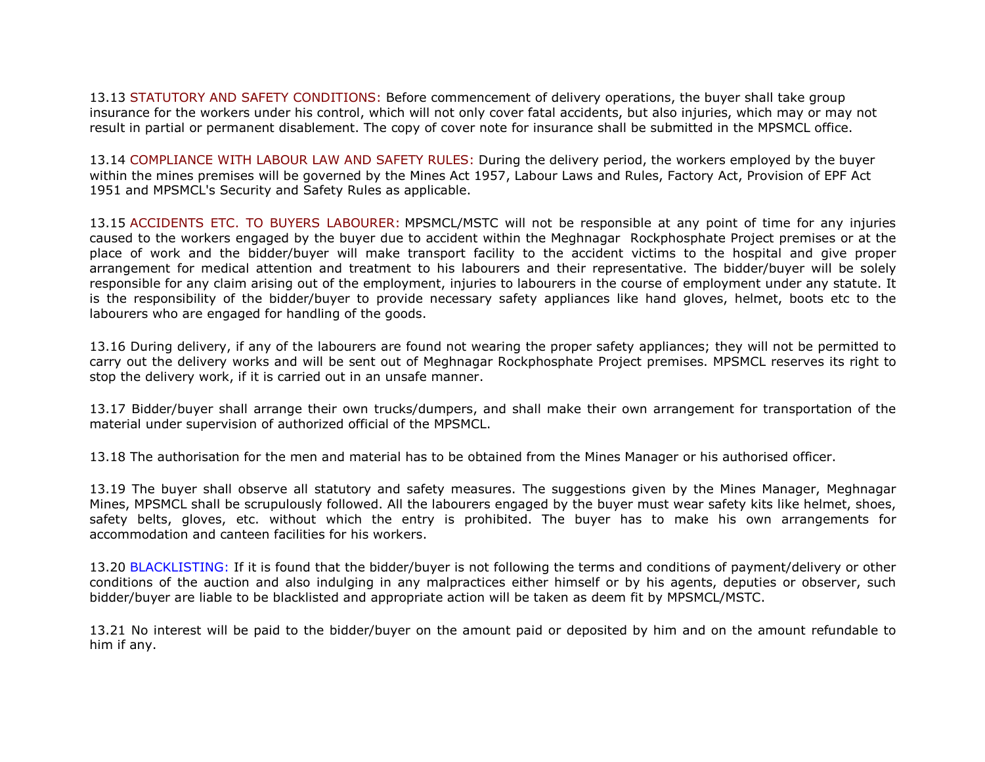13.13 STATUTORY AND SAFETY CONDITIONS: Before commencement of delivery operations, the buyer shall take group insurance for the workers under his control, which will not only cover fatal accidents, but also injuries, which may or may not result in partial or permanent disablement. The copy of cover note for insurance shall be submitted in the MPSMCL office.

13.14 COMPLIANCE WITH LABOUR LAW AND SAFETY RULES: During the delivery period, the workers employed by the buyer within the mines premises will be governed by the Mines Act 1957, Labour Laws and Rules, Factory Act, Provision of EPF Act 1951 and MPSMCL's Security and Safety Rules as applicable.

13.15 ACCIDENTS ETC. TO BUYERS LABOURER: MPSMCL/MSTC will not be responsible at any point of time for any injuries caused to the workers engaged by the buyer due to accident within the Meghnagar Rockphosphate Project premises or at the place of work and the bidder/buyer will make transport facility to the accident victims to the hospital and give proper arrangement for medical attention and treatment to his labourers and their representative. The bidder/buyer will be solely responsible for any claim arising out of the employment, injuries to labourers in the course of employment under any statute. It is the responsibility of the bidder/buyer to provide necessary safety appliances like hand gloves, helmet, boots etc to the labourers who are engaged for handling of the goods.

13.16 During delivery, if any of the labourers are found not wearing the proper safety appliances; they will not be permitted to carry out the delivery works and will be sent out of Meghnagar Rockphosphate Project premises. MPSMCL reserves its right to stop the delivery work, if it is carried out in an unsafe manner.

13.17 Bidder/buyer shall arrange their own trucks/dumpers, and shall make their own arrangement for transportation of the material under supervision of authorized official of the MPSMCL.

13.18 The authorisation for the men and material has to be obtained from the Mines Manager or his authorised officer.

13.19 The buyer shall observe all statutory and safety measures. The suggestions given by the Mines Manager, Meghnagar Mines, MPSMCL shall be scrupulously followed. All the labourers engaged by the buyer must wear safety kits like helmet, shoes, safety belts, gloves, etc. without which the entry is prohibited. The buyer has to make his own arrangements for accommodation and canteen facilities for his workers.

13.20 BLACKLISTING: If it is found that the bidder/buyer is not following the terms and conditions of payment/delivery or other conditions of the auction and also indulging in any malpractices either himself or by his agents, deputies or observer, such bidder/buyer are liable to be blacklisted and appropriate action will be taken as deem fit by MPSMCL/MSTC.

13.21 No interest will be paid to the bidder/buyer on the amount paid or deposited by him and on the amount refundable to him if any.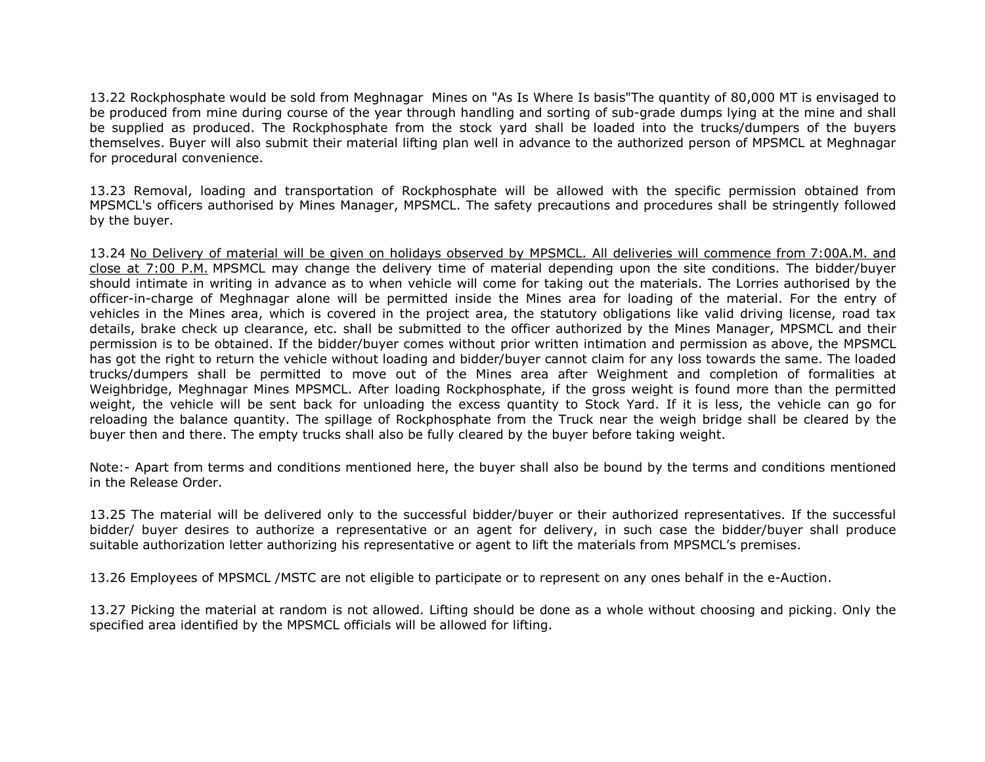13.22 Rockphosphate would be sold from Meghnagar Mines on "As Is Where Is basis"The quantity of 80,000 MT is envisaged to be produced from mine during course of the year through handling and sorting of sub-grade dumps lying at the mine and shall be supplied as produced. The Rockphosphate from the stock yard shall be loaded into the trucks/dumpers of the buyers themselves. Buyer will also submit their material lifting plan well in advance to the authorized person of MPSMCL at Meghnagar for procedural convenience.

13.23 Removal, loading and transportation of Rockphosphate will be allowed with the specific permission obtained from MPSMCL's officers authorised by Mines Manager, MPSMCL. The safety precautions and procedures shall be stringently followed by the buyer.

13.24 No Delivery of material will be given on holidays observed by MPSMCL. All deliveries will commence from 7:00A.M. and close at 7:00 P.M. MPSMCL may change the delivery time of material depending upon the site conditions. The bidder/buyer should intimate in writing in advance as to when vehicle will come for taking out the materials. The Lorries authorised by the officer-in-charge of Meghnagar alone will be permitted inside the Mines area for loading of the material. For the entry of vehicles in the Mines area, which is covered in the project area, the statutory obligations like valid driving license, road tax details, brake check up clearance, etc. shall be submitted to the officer authorized by the Mines Manager, MPSMCL and their permission is to be obtained. If the bidder/buyer comes without prior written intimation and permission as above, the MPSMCL has got the right to return the vehicle without loading and bidder/buyer cannot claim for any loss towards the same. The loaded trucks/dumpers shall be permitted to move out of the Mines area after Weighment and completion of formalities at Weighbridge, Meghnagar Mines MPSMCL. After loading Rockphosphate, if the gross weight is found more than the permitted weight, the vehicle will be sent back for unloading the excess quantity to Stock Yard. If it is less, the vehicle can go for reloading the balance quantity. The spillage of Rockphosphate from the Truck near the weigh bridge shall be cleared by the buyer then and there. The empty trucks shall also be fully cleared by the buyer before taking weight.

Note:- Apart from terms and conditions mentioned here, the buyer shall also be bound by the terms and conditions mentioned in the Release Order.

13.25 The material will be delivered only to the successful bidder/buyer or their authorized representatives. If the successful bidder/ buyer desires to authorize a representative or an agent for delivery, in such case the bidder/buyer shall produce suitable authorization letter authorizing his representative or agent to lift the materials from MPSMCL's premises.

13.26 Employees of MPSMCL /MSTC are not eligible to participate or to represent on any ones behalf in the e-Auction.

13.27 Picking the material at random is not allowed. Lifting should be done as a whole without choosing and picking. Only the specified area identified by the MPSMCL officials will be allowed for lifting.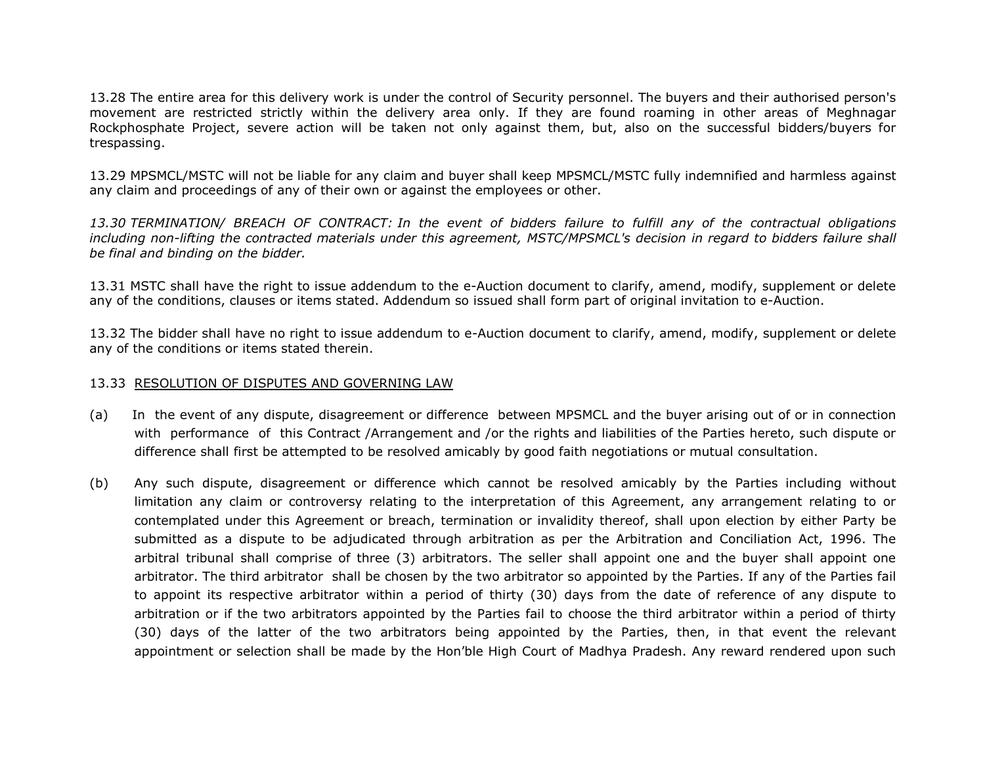13.28 The entire area for this delivery work is under the control of Security personnel. The buyers and their authorised person's movement are restricted strictly within the delivery area only. If they are found roaming in other areas of Meghnagar Rockphosphate Project, severe action will be taken not only against them, but, also on the successful bidders/buyers for trespassing.

13.29 MPSMCL/MSTC will not be liable for any claim and buyer shall keep MPSMCL/MSTC fully indemnified and harmless against any claim and proceedings of any of their own or against the employees or other.

13.30 TERMINATION/ BREACH OF CONTRACT: In the event of bidders failure to fulfill any of the contractual obligations including non-lifting the contracted materials under this agreement, MSTC/MPSMCL's decision in regard to bidders failure shall be final and binding on the bidder.

13.31 MSTC shall have the right to issue addendum to the e-Auction document to clarify, amend, modify, supplement or delete any of the conditions, clauses or items stated. Addendum so issued shall form part of original invitation to e-Auction.

13.32 The bidder shall have no right to issue addendum to e-Auction document to clarify, amend, modify, supplement or delete any of the conditions or items stated therein.

#### 13.33 RESOLUTION OF DISPUTES AND GOVERNING LAW

- (a) In the event of any dispute, disagreement or difference between MPSMCL and the buyer arising out of or in connection with performance of this Contract /Arrangement and /or the rights and liabilities of the Parties hereto, such dispute or difference shall first be attempted to be resolved amicably by good faith negotiations or mutual consultation.
- (b) Any such dispute, disagreement or difference which cannot be resolved amicably by the Parties including without limitation any claim or controversy relating to the interpretation of this Agreement, any arrangement relating to or contemplated under this Agreement or breach, termination or invalidity thereof, shall upon election by either Party be submitted as a dispute to be adjudicated through arbitration as per the Arbitration and Conciliation Act, 1996. The arbitral tribunal shall comprise of three (3) arbitrators. The seller shall appoint one and the buyer shall appoint one arbitrator. The third arbitrator shall be chosen by the two arbitrator so appointed by the Parties. If any of the Parties fail to appoint its respective arbitrator within a period of thirty (30) days from the date of reference of any dispute to arbitration or if the two arbitrators appointed by the Parties fail to choose the third arbitrator within a period of thirty (30) days of the latter of the two arbitrators being appointed by the Parties, then, in that event the relevant appointment or selection shall be made by the Hon'ble High Court of Madhya Pradesh. Any reward rendered upon such